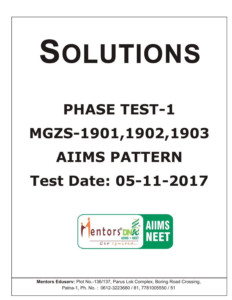## SOLUTIONS **PHASE TEST-1 MGZS-1901,1902,1903 AIIMS PATTERN Test Date: 05-11-2017**



**Mentors Eduserv:** Plot No.-136/137, Parus Lok Complex, Boring Road Crossing, Patna-1, Ph. No. : 0612-3223680 / 81, 7781005550 / 51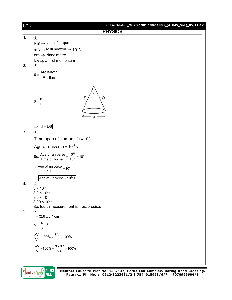

Mentors DNE **AIIMS NEET**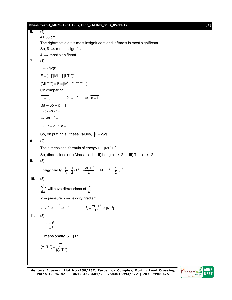**Phase Test–I\_MGZS-1901,1902,1903\_(AIIMS\_Sol.)\_05-11-17** [ **3** ] **6. (4)** 41.68 cm The rightmost digit is most insignificant and leftmost is most significant. So,  $8 \rightarrow$  most insignificant  $4 \rightarrow$  most significant **7. (1)**  $F \propto V^a \rho^b q^c$  $F = [L^3]^a [ML^{-3}]^b [LT^{-2}]^c$  $[MLT^{-2}] = F = [M^bL^{3a-3b+c}T^{-2c}]$ On comparing  $\overline{b} = 1$ ,  $-2c = -2$   $\Rightarrow \overline{c} = 1$  $3a - 3b + c = 1$  $\Rightarrow$  3a - 3 + 1 = 1  $\Rightarrow$  3a - 2 = 1  $\Rightarrow$  3a = 3  $\Rightarrow$  a = 1 So, on putting all these values,  $F = V \rho g$ **8. (2)** The dimensional formula of energy  $E = [ML<sup>2</sup>T<sup>-2</sup>]$ So, dimensions of i) Mass  $\rightarrow$  1 ii) Length  $\rightarrow$  2 iii) Time  $\rightarrow$  -2 **9. (3)** Energy density  $=$   $\frac{E}{V}$   $=$   $\frac{1}{2}$   $\varepsilon_0$  E<sup>2</sup>  $\Rightarrow$   $\frac{ML^2T^{-2}}{L^3}$   $\Rightarrow$   $\left[$ [ML<sup>-1</sup>T<sup>-2</sup>]  $=$   $\frac{1}{2}$   $\varepsilon_0$ E<sup>2</sup>  $=\frac{E}{U}=\frac{1}{2}\varepsilon_0E^2 \Rightarrow \frac{ML^2T^{-2}}{13} \Rightarrow |[ML^{-1}T^{-2}]=\frac{1}{2}\varepsilon_0E$ **10. (3)** 2  $\frac{d^2y}{dx^2}$  will have dimensions of  $\frac{y}{x^2}$  $y \rightarrow$  pressure,  $x \rightarrow$  velocity gradient  $x \rightarrow \frac{V}{L} \Rightarrow \frac{LT^{-1}}{L} \Rightarrow T^{-1}$  $\rightarrow \frac{V}{L} \Rightarrow \frac{LT^{-1}}{L} \Rightarrow T^{-1}$   $\frac{y}{x^2} = \frac{ML^{-1}T^{-2}}{T^{-2}} \Rightarrow [ML^{-1}]$  $=\frac{ML^{-1}T^{-2}}{T^{-2}} \Rightarrow [ML^{-1}]$ **11. (3)** 2  $F = \frac{\alpha - t}{\beta v^2}$  $=\frac{\alpha - t}{\beta v^2}$ Dimensionally,  $\alpha = [T^2]$  $[MLT^{-2}] = \frac{[T^2]}{\beta[L^2T^{-2}]}$  $^{-2}$ ] =  $\frac{1}{\beta L^2}$ Mentors DNA **AIIMS** 

**Mentors Eduserv: Plot No.-136/137, Parus Lok Complex, Boring Road Crossing, Patna-1, Ph. No. : 0612-3223681/2 | 7544015993/6/7 | 7070999604/5**

**NEET** 

 $C + I$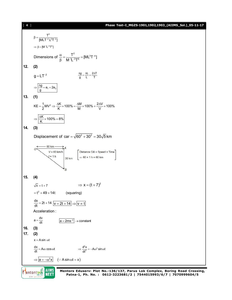## [ **4** ] **Phase Test–I\_MGZS-1901,1902,1903\_(AIIMS\_Sol.)\_05-11-17**



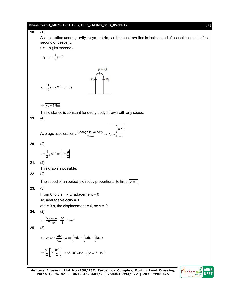

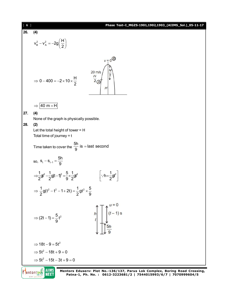| [6]        |                                                                                                                                                                                                                                                                                                                                                                                                                                                    | Phase Test-I_MGZS-1901,1902,1903_(AIIMS_Sol.)_05-11-17             |
|------------|----------------------------------------------------------------------------------------------------------------------------------------------------------------------------------------------------------------------------------------------------------------------------------------------------------------------------------------------------------------------------------------------------------------------------------------------------|--------------------------------------------------------------------|
| 26.        | (4)                                                                                                                                                                                                                                                                                                                                                                                                                                                |                                                                    |
|            | $v_B^2 - v_A^2 = -2g\left(\frac{H}{2}\right)$                                                                                                                                                                                                                                                                                                                                                                                                      |                                                                    |
|            | $\Rightarrow$ 0 - 400 = -2 × 10 × $\frac{H}{2}$                                                                                                                                                                                                                                                                                                                                                                                                    | $v = 0$<br>$\frac{H}{2}$<br>$20 \text{ m/s}$<br>$\frac{H}{2}$<br>H |
|            | $ 40 \text{ m} = H $<br>$\Rightarrow$                                                                                                                                                                                                                                                                                                                                                                                                              |                                                                    |
| 27.<br>28. | (4)<br>None of the graph is physically possible.<br>(2)<br>Let the total height of tower = $H$<br>Total time of journey $= t$<br>Time taken to cover the $\frac{5h}{9}$ is = last second<br>so, $S_t - S_{t-1} = \frac{5h}{9}$<br>$\Rightarrow \frac{1}{2}gt^2 - \frac{1}{2}gt-1)^2 = \frac{5}{9} \times \frac{1}{2}gt^2$<br>$\Rightarrow \frac{1}{2}$ g(t <sup>2</sup> – t <sup>2</sup> – 1 + 2t) = $\frac{1}{2}$ gt <sup>2</sup> × $\frac{5}{9}$ | $\left \cdot\cdot h=\frac{1}{2}gt^2\right $                        |
|            |                                                                                                                                                                                                                                                                                                                                                                                                                                                    |                                                                    |
|            | ⇒ $(2t-1) = \frac{5}{9}t^2$                                                                                                                                                                                                                                                                                                                                                                                                                        | $\int_0^{\infty}$ (t - 1) s<br>$\frac{5h}{2}$                      |
|            | $\Rightarrow$ 18t - 9 = 5t <sup>2</sup>                                                                                                                                                                                                                                                                                                                                                                                                            |                                                                    |
|            | $\Rightarrow$ 5t <sup>2</sup> - 18t + 9 = 0                                                                                                                                                                                                                                                                                                                                                                                                        |                                                                    |
|            | $\Rightarrow$ 5t <sup>2</sup> - 15t - 3t + 9 = 0                                                                                                                                                                                                                                                                                                                                                                                                   |                                                                    |
|            |                                                                                                                                                                                                                                                                                                                                                                                                                                                    |                                                                    |

Entors DNE AIIMS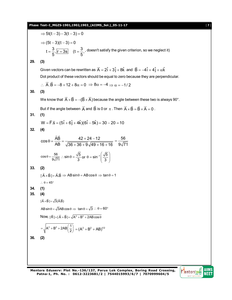## **Phase Test–I\_MGZS-1901,1902,1903\_(AIIMS\_Sol.)\_05-11-17** [ **7** ]

⇒ 5t(t-3) – 3(t-3) = 0  
\n⇒ (5t-3)(t-3) = 0  
\nt = 
$$
\frac{3}{5}
$$
,  $\frac{|\overline{r} = 3s|}{|\overline{r} = 3s|}$  (t =  $\frac{3}{5}$ , doesn't satisfy the given criterion, so we neglect it)  
\n29. (3)  
\nGiven vectors can be rewritten as  $\overline{A} = 2\hat{i} + 3\hat{j} + 8\hat{k}$  and  $\overline{B} = -4\hat{i} + 4\hat{j} + \alpha\hat{k}$   
\nDot product of these vectors should be equal to zero because they are perpendicular.  
\n $\therefore \overline{A} \cdot \overline{B} = -8 + 12 + 8\alpha = 0 \Rightarrow 8\alpha = -4 \Rightarrow \alpha = -1/2$   
\n30. (3)  
\nWe know that  $\overline{A} \times \overline{B} = -(\overline{B} \times \overline{A})$  because the angle between these two is always 90°.  
\nBut if the angle between  $\overline{A}$  and  $\overline{B}$  is 0 or  $\pi$ . Then  $\overline{A} \times \overline{B} = \overline{B} \times \overline{A} = 0$ .  
\n31. (1)  
\n $W = \overline{F} \cdot \overline{S} = (5\hat{i} + 6\hat{j} + 4\hat{k})(6\hat{i} - 5\hat{k}) = 30 - 20 = 10$   
\n32. (4)  
\n $\cos \theta = \frac{\overline{A}\overline{B}}{AB} = \frac{42 + 24 - 12}{\sqrt{36 + 36 + 9}\sqrt{49 + 16 + 16}} = \frac{56}{9\sqrt{71}}$   
\n $\cos \theta = \frac{56}{9\sqrt{71}}$ .  $\sin \theta = \frac{\sqrt{5}}{3}$  or  $\theta = \sin^{-1}(\frac{\sqrt{5}}{3})$   
\n33. (2)  
\n $|\overline{A} \times \overline{B}| = \overline{A}.\overline{B} \Rightarrow AB \sin \theta = AB \cos \theta \Rightarrow \tan \theta = 1$   
\n $\therefore \theta = 45^\circ$   
\n34. (1)  
\n35. (4)  
\n $|\overline{A} \times \$ 

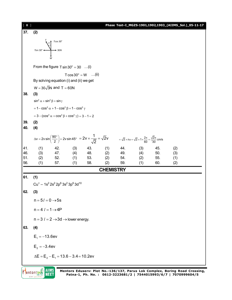| [ 8 ]      |                                                                             |                                                              |     |     |                  |            |                                                                                                                                                                                                                                  |            | Phase Test-I_MGZS-1901,1902,1903_(AIIMS_Sol.)_05-11-17           |  |  |
|------------|-----------------------------------------------------------------------------|--------------------------------------------------------------|-----|-----|------------------|------------|----------------------------------------------------------------------------------------------------------------------------------------------------------------------------------------------------------------------------------|------------|------------------------------------------------------------------|--|--|
| 37.        | (2)                                                                         |                                                              |     |     |                  |            |                                                                                                                                                                                                                                  |            |                                                                  |  |  |
|            |                                                                             | Tcos 30°                                                     |     |     |                  |            |                                                                                                                                                                                                                                  |            |                                                                  |  |  |
|            | $T \sin 30^\circ \longleftarrow \longrightarrow 30N$                        |                                                              |     |     |                  |            |                                                                                                                                                                                                                                  |            |                                                                  |  |  |
|            |                                                                             |                                                              |     |     |                  |            |                                                                                                                                                                                                                                  |            |                                                                  |  |  |
|            |                                                                             |                                                              |     |     |                  |            |                                                                                                                                                                                                                                  |            |                                                                  |  |  |
|            | From the figure $T \sin 30^\circ = 30$ (i)                                  |                                                              |     |     |                  |            |                                                                                                                                                                                                                                  |            |                                                                  |  |  |
|            | $T\cos 30^\circ = W$ (ii)<br>By solving equation (i) and (ii) we get        |                                                              |     |     |                  |            |                                                                                                                                                                                                                                  |            |                                                                  |  |  |
|            |                                                                             | $W = 30\sqrt{3}N$ and T = 60N                                |     |     |                  |            |                                                                                                                                                                                                                                  |            |                                                                  |  |  |
| 38.        | (3)                                                                         |                                                              |     |     |                  |            |                                                                                                                                                                                                                                  |            |                                                                  |  |  |
|            | $\sin^2 \alpha + \sin^2 \beta + \sin \gamma$                                |                                                              |     |     |                  |            |                                                                                                                                                                                                                                  |            |                                                                  |  |  |
|            |                                                                             | $= 1 - \cos^2 \alpha + 1 - \cos^2 \beta + 1 - \cos^2 \gamma$ |     |     |                  |            |                                                                                                                                                                                                                                  |            |                                                                  |  |  |
|            |                                                                             | $= 3 - (cos2 \alpha + cos2 \beta + cos2 \gamma) = 3 - 1 = 2$ |     |     |                  |            |                                                                                                                                                                                                                                  |            |                                                                  |  |  |
| 39.        | (2)                                                                         |                                                              |     |     |                  |            |                                                                                                                                                                                                                                  |            |                                                                  |  |  |
| 40.        | (4)                                                                         |                                                              |     |     |                  |            |                                                                                                                                                                                                                                  |            |                                                                  |  |  |
|            |                                                                             |                                                              |     |     |                  |            | $\Delta v = 2v \sin \left( \frac{90^{\circ}}{2} \right) = 2v \sin 45^{\circ} = 2v \times \frac{1}{\sqrt{2}} = \sqrt{2}v$<br>= $\sqrt{2} \times r\omega = \sqrt{2} \times 1 \times \frac{2\pi}{60} = \frac{\sqrt{2}\pi}{30}$ cm/s |            |                                                                  |  |  |
| 41.        | (1)                                                                         | 42.                                                          | (3) | 43. | (1)              | 44.        | (3)                                                                                                                                                                                                                              | 45.        | (2)                                                              |  |  |
| 46.<br>51. | (3)<br>(2)                                                                  | 47. (4) 48. (2)<br>52.                                       | (1) | 53. | (2)              | 49.<br>54. | (4)<br>(2)                                                                                                                                                                                                                       | 50.<br>55. | (3)<br>(1)                                                       |  |  |
| 56.        | (1)                                                                         | 57.                                                          | (1) | 58. | (2)              | 59.        | (1)                                                                                                                                                                                                                              | 60.        | (2)                                                              |  |  |
|            |                                                                             |                                                              |     |     | <b>CHEMISTRY</b> |            |                                                                                                                                                                                                                                  |            |                                                                  |  |  |
| 61.        | (1)                                                                         |                                                              |     |     |                  |            |                                                                                                                                                                                                                                  |            |                                                                  |  |  |
|            |                                                                             | $Cu+ - 1s2 2s2 2p6 3s2 3p6 3d10$                             |     |     |                  |            |                                                                                                                                                                                                                                  |            |                                                                  |  |  |
| 62.        | (3)                                                                         |                                                              |     |     |                  |            |                                                                                                                                                                                                                                  |            |                                                                  |  |  |
|            | $n = 5l = 0 \rightarrow 5s$                                                 |                                                              |     |     |                  |            |                                                                                                                                                                                                                                  |            |                                                                  |  |  |
|            | $n = 4$ $l = 1 \rightarrow 4P$                                              |                                                              |     |     |                  |            |                                                                                                                                                                                                                                  |            |                                                                  |  |  |
|            |                                                                             | $n = 3$ $l = 2 \rightarrow 3d \rightarrow$ lower energy.     |     |     |                  |            |                                                                                                                                                                                                                                  |            |                                                                  |  |  |
| 63.        | (4)                                                                         |                                                              |     |     |                  |            |                                                                                                                                                                                                                                  |            |                                                                  |  |  |
|            | $E_1 = -13.6$ ev                                                            |                                                              |     |     |                  |            |                                                                                                                                                                                                                                  |            |                                                                  |  |  |
|            |                                                                             |                                                              |     |     |                  |            |                                                                                                                                                                                                                                  |            |                                                                  |  |  |
|            | $E_2 = -3.4$ ev                                                             |                                                              |     |     |                  |            |                                                                                                                                                                                                                                  |            |                                                                  |  |  |
|            |                                                                             | $\Delta E = E_2 - E_1 = 13.6 - 3.4 = 10.2$ ev                |     |     |                  |            |                                                                                                                                                                                                                                  |            |                                                                  |  |  |
|            | Mentors Eduserv: Plot No.-136/137, Parus Lok Complex, Boring Road Crossing, |                                                              |     |     |                  |            |                                                                                                                                                                                                                                  |            |                                                                  |  |  |
|            | entors<br>$60 + 14$                                                         | AIIMS                                                        |     |     |                  |            |                                                                                                                                                                                                                                  |            | Patna-1, Ph. No.: 0612-3223681/2   7544015993/6/7   7070999604/5 |  |  |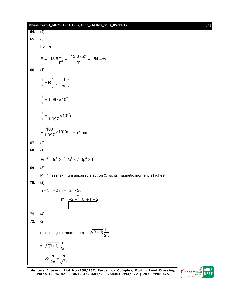|     | Phase Test-I_MGZS-1901,1902,1903_(AIIMS_Sol.)_05-11-17<br>$[9]$                                       |
|-----|-------------------------------------------------------------------------------------------------------|
| 64. | (2)                                                                                                   |
| 65. | (3)                                                                                                   |
|     | $For He+$                                                                                             |
|     | E = -13.6 $\frac{Z^2}{n^2}$ = - $\frac{13.6 \times Z^2}{1^2}$ = -54.4ev                               |
| 66. | (1)                                                                                                   |
|     | $\frac{1}{\lambda} = R \left( \frac{1}{1^2} - \frac{1}{\infty^2} \right)$                             |
|     | $\frac{1}{2}$ = 1.097 × 10 <sup>7</sup>                                                               |
|     | $\frac{1}{\lambda} = \frac{1}{1.097} \times 10^{-7}$ m                                                |
|     | $=\frac{100}{1.097} \times 10^{-9}$ m = 91 nm                                                         |
| 67. | (2)                                                                                                   |
| 68. | (1)                                                                                                   |
|     | $Fe^{+2} - 1s^2$ 2s <sup>2</sup> 2p <sup>6</sup> 3s <sup>2</sup> 3p <sup>6</sup> 3d <sup>6</sup>      |
| 69. | (3)                                                                                                   |
|     | $Mn^{2}$ has maximum unpaired electron (5) so its magnetic moment is highest.                         |
| 70. | (2)                                                                                                   |
|     | $n = 3, l = 2$ m = $+2 \rightarrow 3d$                                                                |
|     | $m = -2 - 1$ 0 + 1 + 2                                                                                |
| 71. | (4)                                                                                                   |
| 72. | (2)                                                                                                   |
|     | orbital angular momentum = $\sqrt{l(l+1)}\frac{h}{2\pi}$                                              |
|     | = $\sqrt{l(1+1)} \frac{h}{2\pi}$                                                                      |
|     | $=\sqrt{2}\frac{h}{2\pi}=\frac{h}{\sqrt{2}\pi}$<br>$\boldsymbol{\breve{\varepsilon}}$<br><b>AllMe</b> |

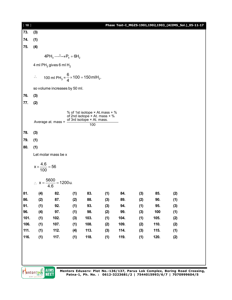| [10]         |                                                                                                                                   |                                         |            |              |            |              |            |              | Phase Test-I_MGZS-1901,1902,1903_(AIIMS_Sol.)_05-11-17 |  |  |
|--------------|-----------------------------------------------------------------------------------------------------------------------------------|-----------------------------------------|------------|--------------|------------|--------------|------------|--------------|--------------------------------------------------------|--|--|
| 73.          | (3)                                                                                                                               |                                         |            |              |            |              |            |              |                                                        |  |  |
| 74.          | (1)                                                                                                                               |                                         |            |              |            |              |            |              |                                                        |  |  |
| 75.          | (4)                                                                                                                               |                                         |            |              |            |              |            |              |                                                        |  |  |
|              |                                                                                                                                   | $4PH_3 \xrightarrow{\Delta} P_4 + 6H_2$ |            |              |            |              |            |              |                                                        |  |  |
|              | 4 ml PH <sub>3</sub> gives 6 ml H <sub>2</sub>                                                                                    |                                         |            |              |            |              |            |              |                                                        |  |  |
|              | 100 ml PH <sub>3</sub> = $\frac{6}{4}$ × 100 = 150 mlH <sub>2</sub> .<br>$\ddot{\cdot}$                                           |                                         |            |              |            |              |            |              |                                                        |  |  |
|              |                                                                                                                                   | so volume increases by 50 ml.           |            |              |            |              |            |              |                                                        |  |  |
| 76.          | (3)                                                                                                                               |                                         |            |              |            |              |            |              |                                                        |  |  |
| 77.          | (2)                                                                                                                               |                                         |            |              |            |              |            |              |                                                        |  |  |
|              | % of 1st isotope × At.mass + %<br>of 2nd isotope $\times$ At. mass + %<br>of 3rd isotope × At. mass.<br>Average at. mass =<br>100 |                                         |            |              |            |              |            |              |                                                        |  |  |
| 78.          | (3)                                                                                                                               |                                         |            |              |            |              |            |              |                                                        |  |  |
| 79.          | (1)                                                                                                                               |                                         |            |              |            |              |            |              |                                                        |  |  |
| 80.          | (1)                                                                                                                               |                                         |            |              |            |              |            |              |                                                        |  |  |
|              | Let molar mass be x                                                                                                               |                                         |            |              |            |              |            |              |                                                        |  |  |
|              | $x \times \frac{4.6}{100} = 56$                                                                                                   |                                         |            |              |            |              |            |              |                                                        |  |  |
|              |                                                                                                                                   | ∴ $x = \frac{5600}{4.6} = 1200u$ .      |            |              |            |              |            |              |                                                        |  |  |
| 81.          | (4)                                                                                                                               | 82.                                     | (1)        | 83.          | (1)        | 84.          | (3)        | 85.          | (2)                                                    |  |  |
| 86.          | (2)                                                                                                                               | 87.                                     | (2)        | 88.          | (3)        | 89.          | (2)        | 90.          | (1)                                                    |  |  |
| 91.          | (1)                                                                                                                               | 92.                                     | (1)        | 93.          | (3)        | 94.          | (1)        | 95.          | (3)                                                    |  |  |
| 96.          | (4)                                                                                                                               | 97.                                     | (1)        | 98.          | (2)        | 99.          | (3)        | 100          | (1)                                                    |  |  |
| 101.         | (1)                                                                                                                               | 102.                                    | (3)        | 103.         | (1)        | 104.         | (1)        | 105.         | (2)                                                    |  |  |
| 106.<br>111. | (1)<br>(1)                                                                                                                        | 107.<br>112.                            | (1)<br>(4) | 108.<br>113. | (2)<br>(3) | 109.<br>114. | (2)<br>(3) | 110.<br>115. | (2)<br>(1)                                             |  |  |
| 116.         | (1)                                                                                                                               | 117.                                    | (1)        | 118.         | (1)        | 119.         | (1)        | 120.         |                                                        |  |  |
|              |                                                                                                                                   |                                         |            |              |            |              |            |              | (2)                                                    |  |  |
|              |                                                                                                                                   |                                         |            |              |            |              |            |              |                                                        |  |  |
|              |                                                                                                                                   |                                         |            |              |            |              |            |              |                                                        |  |  |
|              |                                                                                                                                   |                                         |            |              |            |              |            |              |                                                        |  |  |

AllMS